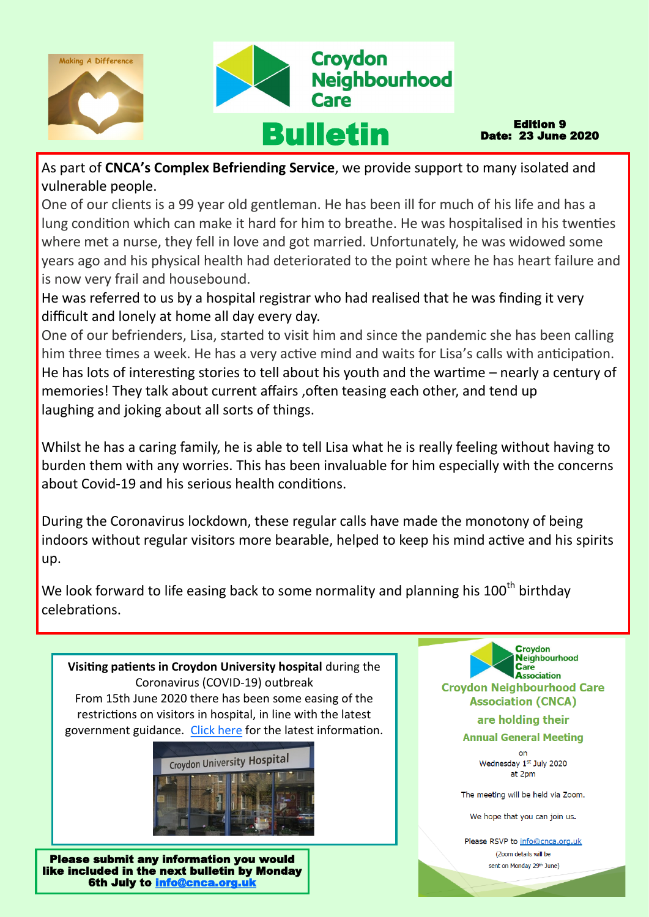

Edition 9 Date: 23 June 2020

As part of **CNCA's Complex Befriending Service**, we provide support to many isolated and vulnerable people.

One of our clients is a 99 year old gentleman. He has been ill for much of his life and has a lung condition which can make it hard for him to breathe. He was hospitalised in his twenties where met a nurse, they fell in love and got married. Unfortunately, he was widowed some years ago and his physical health had deteriorated to the point where he has heart failure and is now very frail and housebound.

He was referred to us by a hospital registrar who had realised that he was finding it very difficult and lonely at home all day every day.

One of our befrienders, Lisa, started to visit him and since the pandemic she has been calling him three times a week. He has a very active mind and waits for Lisa's calls with anticipation. He has lots of interesting stories to tell about his youth and the wartime – nearly a century of memories! They talk about current affairs ,often teasing each other, and tend up laughing and joking about all sorts of things.

Whilst he has a caring family, he is able to tell Lisa what he is really feeling without having to burden them with any worries. This has been invaluable for him especially with the concerns about Covid-19 and his serious health conditions.

During the Coronavirus lockdown, these regular calls have made the monotony of being indoors without regular visitors more bearable, helped to keep his mind active and his spirits up.

We look forward to life easing back to some normality and planning his  $100<sup>th</sup>$  birthday celebrations.



6th July to [info@cnca.org.uk](mailto:info@cnca.org.uk)

**Neighbourhood Care**<br>**Association Crovdon Neighbourhood Care Association (CNCA)** are holding their

Croydon

**Annual General Meeting** 

 $\alpha$ Wednesday 1st July 2020 at 2pm

The meeting will be held via Zoom.

We hope that you can join us.

Please RSVP to info@cnca.org.uk (Zoom details will be sent on Monday 29th June)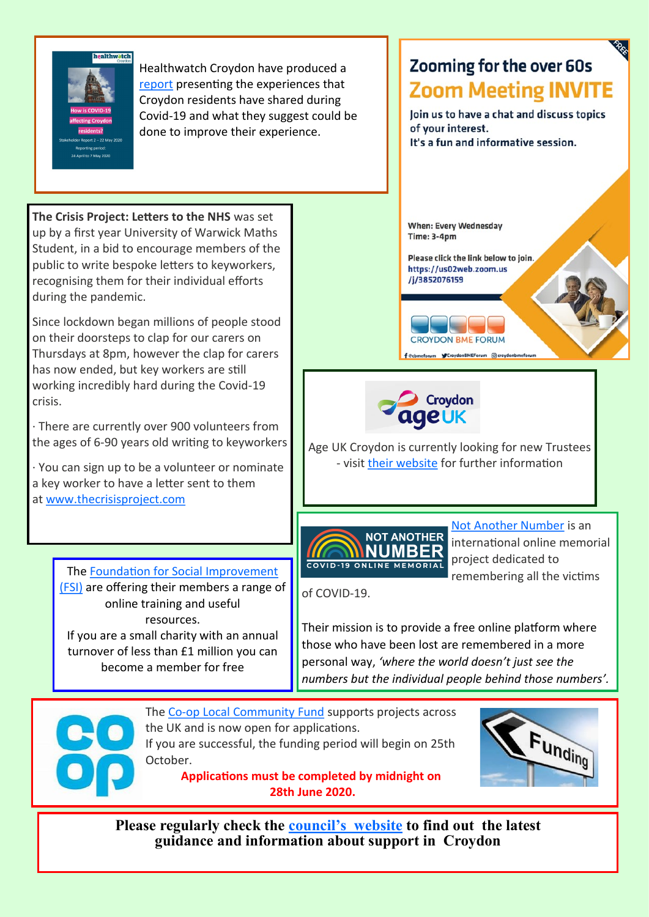

during the pandemic.

crisis.

**The Crisis Project: Letters to the NHS** was set up by a first year University of Warwick Maths Student, in a bid to encourage members of the public to write bespoke letters to keyworkers, recognising them for their individual efforts

Since lockdown began millions of people stood on their doorsteps to clap for our carers on Thursdays at 8pm, however the clap for carers

· There are currently over 900 volunteers from the ages of 6-90 years old writing to keyworkers

· You can sign up to be a volunteer or nominate a key worker to have a letter sent to them

> The [Foundation for Social Improvement](https://www.thefsi.org/)  [\(FSI\)](https://www.thefsi.org/) are offering their members a range of online training and useful resources. If you are a small charity with an annual turnover of less than £1 million you can become a member for free

at [www.thecrisisproject.com](http://www.thecrisisproject.com)

has now ended, but key workers are still working incredibly hard during the Covid-19

Healthwatch Croydon have produced a [report](https://www.healthwatchcroydon.co.uk/wp-content/uploads/2020/06/How-is-COVID19-affecting-Croydon-residents-Stakeholder-Report-No-2-22-May-2020.pdf) presenting the experiences that Croydon residents have shared during Covid-19 and what they suggest could be done to improve their experience.

# **Zooming for the over 60s Zoom Meeting INVITE**



**When: Every Wednesday Time: 3-4pm** 

Please click the link below to join. https://us02web.zoom.us /j/3852076159





Age UK Croydon is currently looking for new Trustees - visit [their website](https://www.ageuk.org.uk/croydon/get-involved/volunteer/trustees/) for further information



[Not Another Number](https://notanothernumber.co.uk/) is an international online memorial project dedicated to remembering all the victims

of COVID-19.

Their mission is to provide a free online platform where those who have been lost are remembered in a more personal way, *'where the world doesn't just see the numbers but the individual people behind those numbers'.*



The Co-[op Local Community Fund](https://causes.coop.co.uk/) supports projects across the UK and is now open for applications. If you are successful, the funding period will begin on 25th October.

> **Applications must be completed by midnight on 28th June 2020.**



**Please regularly check the council'[s website](https://www.croydon.gov.uk/healthsocial/phealth/coronavirus-information/service-updates) to find out the latest guidance and information about support in Croydon**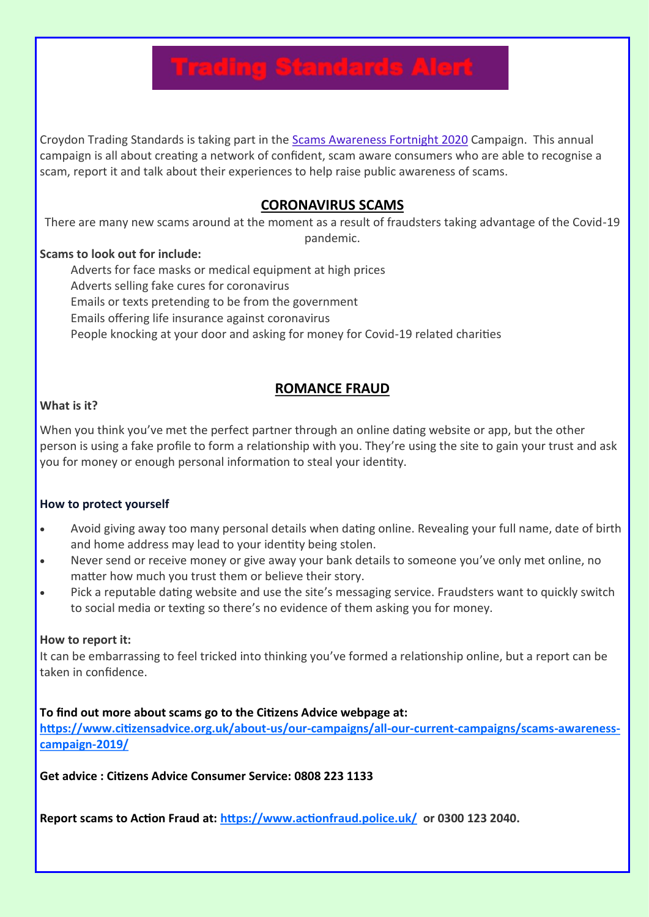# **Trading Standards Alert**

Croydon Trading Standards is taking part in the [Scams Awareness Fortnight 2020](https://www.citizensadvice.org.uk/about-us/our-campaigns/all-our-current-campaigns/scams-awareness-campaign-2020/) Campaign. This annual campaign is all about creating a network of confident, scam aware consumers who are able to recognise a scam, report it and talk about their experiences to help raise public awareness of scams.

# **CORONAVIRUS SCAMS**

There are many new scams around at the moment as a result of fraudsters taking advantage of the Covid-19 pandemic.

#### **Scams to look out for include:**

Adverts for face masks or medical equipment at high prices Adverts selling fake cures for coronavirus Emails or texts pretending to be from the government Emails offering life insurance against coronavirus People knocking at your door and asking for money for Covid-19 related charities

# **ROMANCE FRAUD**

### **What is it?**

When you think you've met the perfect partner through an online dating website or app, but the other person is using a fake profile to form a relationship with you. They're using the site to gain your trust and ask you for money or enough personal information to steal your identity.

#### **How to protect yourself**

- Avoid giving away too many personal details when dating online. Revealing your full name, date of birth and home address may lead to your identity being stolen.
- Never send or receive money or give away your bank details to someone you've only met online, no matter how much you trust them or believe their story.
- Pick a reputable dating website and use the site's messaging service. Fraudsters want to quickly switch to social media or texting so there's no evidence of them asking you for money.

#### **How to report it:**

It can be embarrassing to feel tricked into thinking you've formed a relationship online, but a report can be taken in confidence.

#### **To find out more about scams go to the Citizens Advice webpage at:**

**[https://www.citizensadvice.org.uk/about](https://www.citizensadvice.org.uk/about-us/our-campaigns/all-our-current-campaigns/scams-awareness-campaign-2019/)-us/our-campaigns/all-our-current-campaigns/scams-awareness[campaign](https://www.citizensadvice.org.uk/about-us/our-campaigns/all-our-current-campaigns/scams-awareness-campaign-2019/)-2019/**

**Get advice : Citizens Advice Consumer Service: 0808 223 1133** 

**Report scams to Action Fraud at:<https://www.actionfraud.police.uk/>or 0300 123 2040.**